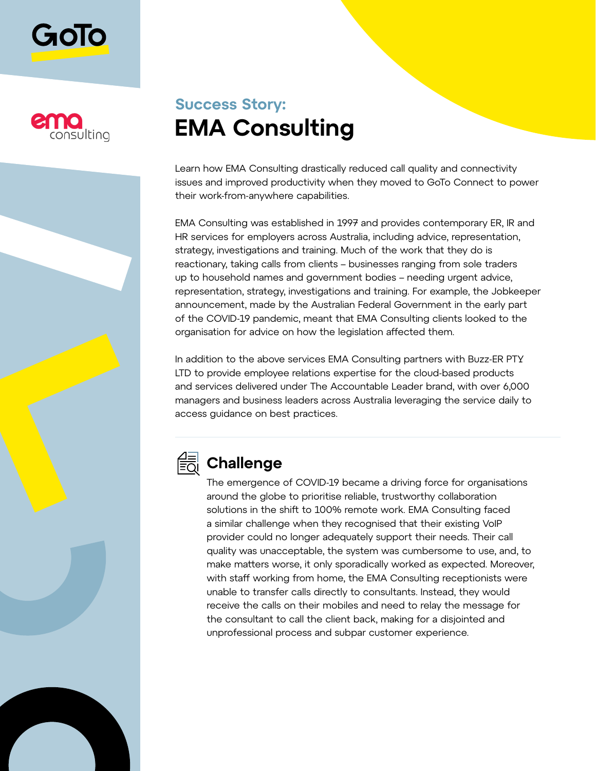



# **Success Story: EMA Consulting**

Learn how EMA Consulting drastically reduced call quality and connectivity issues and improved productivity when they moved to GoTo Connect to power their work-from-anywhere capabilities.

EMA Consulting was established in 1997 and provides contemporary ER, IR and HR services for employers across Australia, including advice, representation, strategy, investigations and training. Much of the work that they do is reactionary, taking calls from clients – businesses ranging from sole traders up to household names and government bodies – needing urgent advice, representation, strategy, investigations and training. For example, the Jobkeeper announcement, made by the Australian Federal Government in the early part of the COVID-19 pandemic, meant that EMA Consulting clients looked to the organisation for advice on how the legislation affected them.

In addition to the above services EMA Consulting partners with Buzz-ER PTY LTD to provide employee relations expertise for the cloud-based products and services delivered under The Accountable Leader brand, with over 6,000 managers and business leaders across Australia leveraging the service daily to access guidance on best practices.



### **Challenge**

The emergence of COVID-19 became a driving force for organisations around the globe to prioritise reliable, trustworthy collaboration solutions in the shift to 100% remote work. EMA Consulting faced a similar challenge when they recognised that their existing VoIP provider could no longer adequately support their needs. Their call quality was unacceptable, the system was cumbersome to use, and, to make matters worse, it only sporadically worked as expected. Moreover, with staff working from home, the EMA Consulting receptionists were unable to transfer calls directly to consultants. Instead, they would receive the calls on their mobiles and need to relay the message for the consultant to call the client back, making for a disjointed and unprofessional process and subpar customer experience.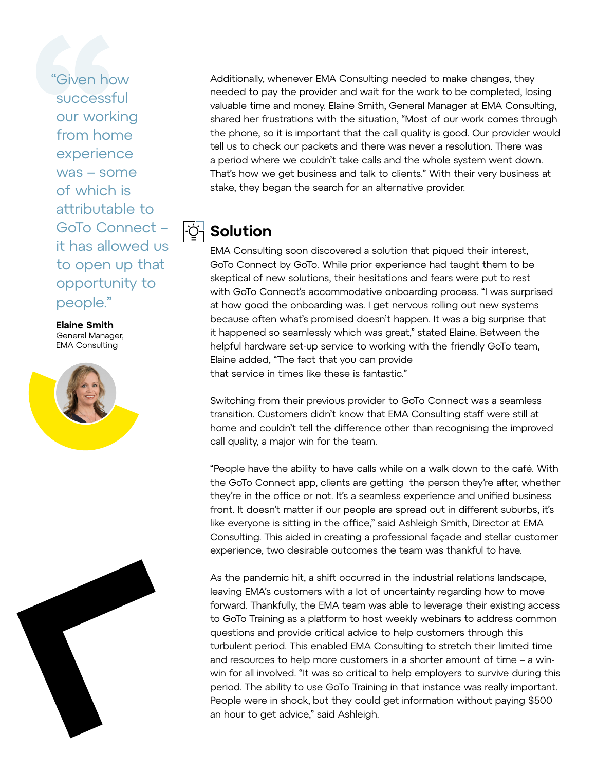"Given how successful our working from home experience was – some of which is attributable to GoTo Connect – it has allowed us to open up that opportunity to people."

**Elaine Smith** General Manager, EMA Consulting





Additionally, whenever EMA Consulting needed to make changes, they needed to pay the provider and wait for the work to be completed, losing valuable time and money. Elaine Smith, General Manager at EMA Consulting, shared her frustrations with the situation, "Most of our work comes through the phone, so it is important that the call quality is good. Our provider would tell us to check our packets and there was never a resolution. There was a period where we couldn't take calls and the whole system went down. That's how we get business and talk to clients." With their very business at stake, they began the search for an alternative provider.

#### **Solution**

EMA Consulting soon discovered a solution that piqued their interest, GoTo Connect by GoTo. While prior experience had taught them to be skeptical of new solutions, their hesitations and fears were put to rest with GoTo Connect's accommodative onboarding process. "I was surprised at how good the onboarding was. I get nervous rolling out new systems because often what's promised doesn't happen. It was a big surprise that it happened so seamlessly which was great," stated Elaine. Between the helpful hardware set-up service to working with the friendly GoTo team, Elaine added, "The fact that you can provide that service in times like these is fantastic."

Switching from their previous provider to GoTo Connect was a seamless transition. Customers didn't know that EMA Consulting staff were still at home and couldn't tell the difference other than recognising the improved call quality, a major win for the team.

"People have the ability to have calls while on a walk down to the café. With the GoTo Connect app, clients are getting the person they're after, whether they're in the office or not. It's a seamless experience and unified business front. It doesn't matter if our people are spread out in different suburbs, it's like everyone is sitting in the office," said Ashleigh Smith, Director at EMA Consulting. This aided in creating a professional façade and stellar customer experience, two desirable outcomes the team was thankful to have.

As the pandemic hit, a shift occurred in the industrial relations landscape, leaving EMA's customers with a lot of uncertainty regarding how to move forward. Thankfully, the EMA team was able to leverage their existing access to GoTo Training as a platform to host weekly webinars to address common questions and provide critical advice to help customers through this turbulent period. This enabled EMA Consulting to stretch their limited time and resources to help more customers in a shorter amount of time – a winwin for all involved. "It was so critical to help employers to survive during this period. The ability to use GoTo Training in that instance was really important. People were in shock, but they could get information without paying \$500 an hour to get advice," said Ashleigh.